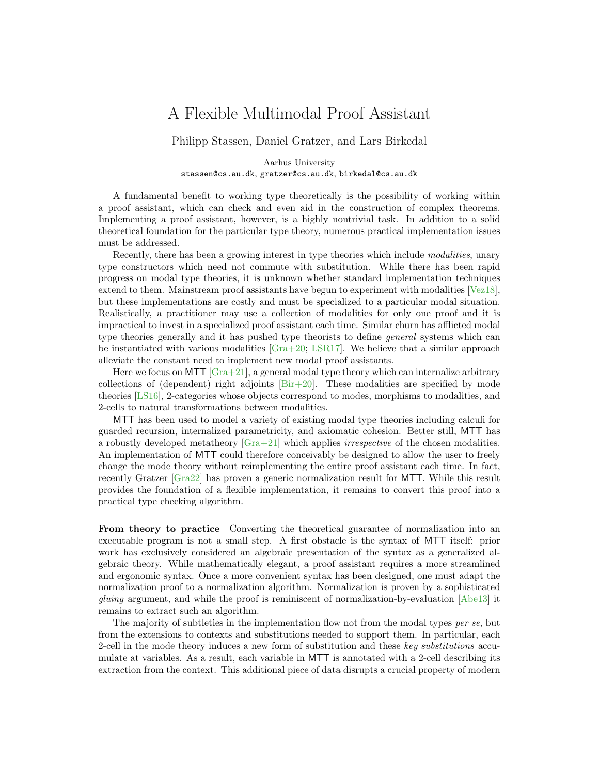## <span id="page-0-0"></span>A Flexible Multimodal Proof Assistant

Philipp Stassen, Daniel Gratzer, and Lars Birkedal

Aarhus University stassen@cs.au.dk, gratzer@cs.au.dk, birkedal@cs.au.dk

A fundamental benefit to working type theoretically is the possibility of working within a proof assistant, which can check and even aid in the construction of complex theorems. Implementing a proof assistant, however, is a highly nontrivial task. In addition to a solid theoretical foundation for the particular type theory, numerous practical implementation issues must be addressed.

Recently, there has been a growing interest in type theories which include *modalities*, unary type constructors which need not commute with substitution. While there has been rapid progress on modal type theories, it is unknown whether standard implementation techniques extend to them. Mainstream proof assistants have begun to experiment with modalities [\[Vez18\]](#page-2-0), but these implementations are costly and must be specialized to a particular modal situation. Realistically, a practitioner may use a collection of modalities for only one proof and it is impractical to invest in a specialized proof assistant each time. Similar churn has afflicted modal type theories generally and it has pushed type theorists to define general systems which can be instantiated with various modalities  $[Gra+20; LSR17]$  $[Gra+20; LSR17]$  $[Gra+20; LSR17]$ . We believe that a similar approach alleviate the constant need to implement new modal proof assistants.

Here we focus on MTT  $[*Gra+21*]<sub>l</sub>$ , a general modal type theory which can internalize arbitrary collections of (dependent) right adjoints  $[\text{Bir}+20]$ . These modalities are specified by mode theories [\[LS16\]](#page-2-5), 2-categories whose objects correspond to modes, morphisms to modalities, and 2-cells to natural transformations between modalities.

MTT has been used to model a variety of existing modal type theories including calculi for guarded recursion, internalized parametricity, and axiomatic cohesion. Better still, MTT has a robustly developed metatheory  $[Gra+21]$  which applies *irrespective* of the chosen modalities. An implementation of MTT could therefore conceivably be designed to allow the user to freely change the mode theory without reimplementing the entire proof assistant each time. In fact, recently Gratzer [\[Gra22\]](#page-2-6) has proven a generic normalization result for MTT. While this result provides the foundation of a flexible implementation, it remains to convert this proof into a practical type checking algorithm.

From theory to practice Converting the theoretical guarantee of normalization into an executable program is not a small step. A first obstacle is the syntax of MTT itself: prior work has exclusively considered an algebraic presentation of the syntax as a generalized algebraic theory. While mathematically elegant, a proof assistant requires a more streamlined and ergonomic syntax. Once a more convenient syntax has been designed, one must adapt the normalization proof to a normalization algorithm. Normalization is proven by a sophisticated gluing argument, and while the proof is reminiscent of normalization-by-evaluation [\[Abe13\]](#page-2-7) it remains to extract such an algorithm.

The majority of subtleties in the implementation flow not from the modal types per se, but from the extensions to contexts and substitutions needed to support them. In particular, each 2-cell in the mode theory induces a new form of substitution and these key substitutions accumulate at variables. As a result, each variable in MTT is annotated with a 2-cell describing its extraction from the context. This additional piece of data disrupts a crucial property of modern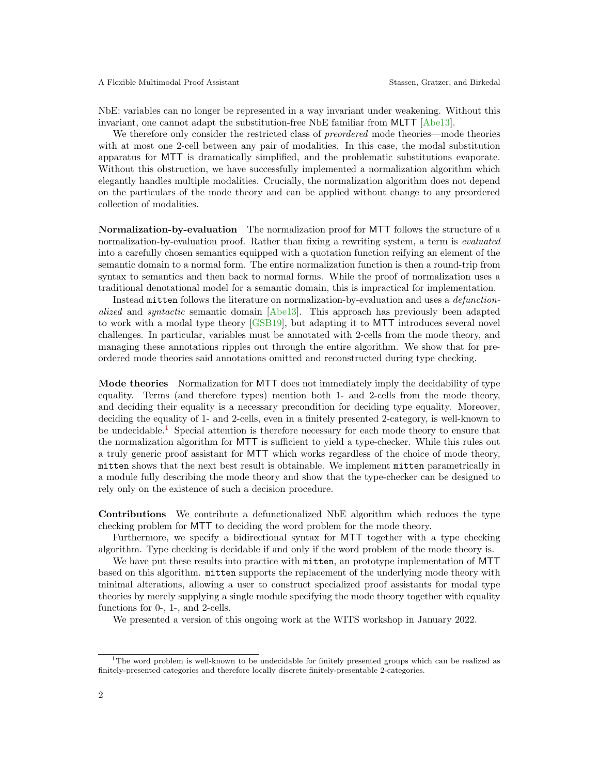<span id="page-1-1"></span>NbE: variables can no longer be represented in a way invariant under weakening. Without this invariant, one cannot adapt the substitution-free NbE familiar from MLTT [\[Abe13\]](#page-2-7).

We therefore only consider the restricted class of *preordered* mode theories—mode theories with at most one 2-cell between any pair of modalities. In this case, the modal substitution apparatus for MTT is dramatically simplified, and the problematic substitutions evaporate. Without this obstruction, we have successfully implemented a normalization algorithm which elegantly handles multiple modalities. Crucially, the normalization algorithm does not depend on the particulars of the mode theory and can be applied without change to any preordered collection of modalities.

Normalization-by-evaluation The normalization proof for MTT follows the structure of a normalization-by-evaluation proof. Rather than fixing a rewriting system, a term is evaluated into a carefully chosen semantics equipped with a quotation function reifying an element of the semantic domain to a normal form. The entire normalization function is then a round-trip from syntax to semantics and then back to normal forms. While the proof of normalization uses a traditional denotational model for a semantic domain, this is impractical for implementation.

Instead mitten follows the literature on normalization-by-evaluation and uses a defunctionalized and syntactic semantic domain [\[Abe13\]](#page-2-7). This approach has previously been adapted to work with a modal type theory [\[GSB19\]](#page-2-8), but adapting it to MTT introduces several novel challenges. In particular, variables must be annotated with 2-cells from the mode theory, and managing these annotations ripples out through the entire algorithm. We show that for preordered mode theories said annotations omitted and reconstructed during type checking.

Mode theories Normalization for MTT does not immediately imply the decidability of type equality. Terms (and therefore types) mention both 1- and 2-cells from the mode theory, and deciding their equality is a necessary precondition for deciding type equality. Moreover, deciding the equality of 1- and 2-cells, even in a finitely presented 2-category, is well-known to be undecidable.<sup>[1](#page-1-0)</sup> Special attention is therefore necessary for each mode theory to ensure that the normalization algorithm for MTT is sufficient to yield a type-checker. While this rules out a truly generic proof assistant for MTT which works regardless of the choice of mode theory, mitten shows that the next best result is obtainable. We implement mitten parametrically in a module fully describing the mode theory and show that the type-checker can be designed to rely only on the existence of such a decision procedure.

Contributions We contribute a defunctionalized NbE algorithm which reduces the type checking problem for MTT to deciding the word problem for the mode theory.

Furthermore, we specify a bidirectional syntax for MTT together with a type checking algorithm. Type checking is decidable if and only if the word problem of the mode theory is.

We have put these results into practice with mitten, an prototype implementation of MTT based on this algorithm. mitten supports the replacement of the underlying mode theory with minimal alterations, allowing a user to construct specialized proof assistants for modal type theories by merely supplying a single module specifying the mode theory together with equality functions for 0-, 1-, and 2-cells.

We presented a version of this ongoing work at the WITS workshop in January 2022.

<span id="page-1-0"></span><sup>1</sup>The word problem is well-known to be undecidable for finitely presented groups which can be realized as finitely-presented categories and therefore locally discrete finitely-presentable 2-categories.